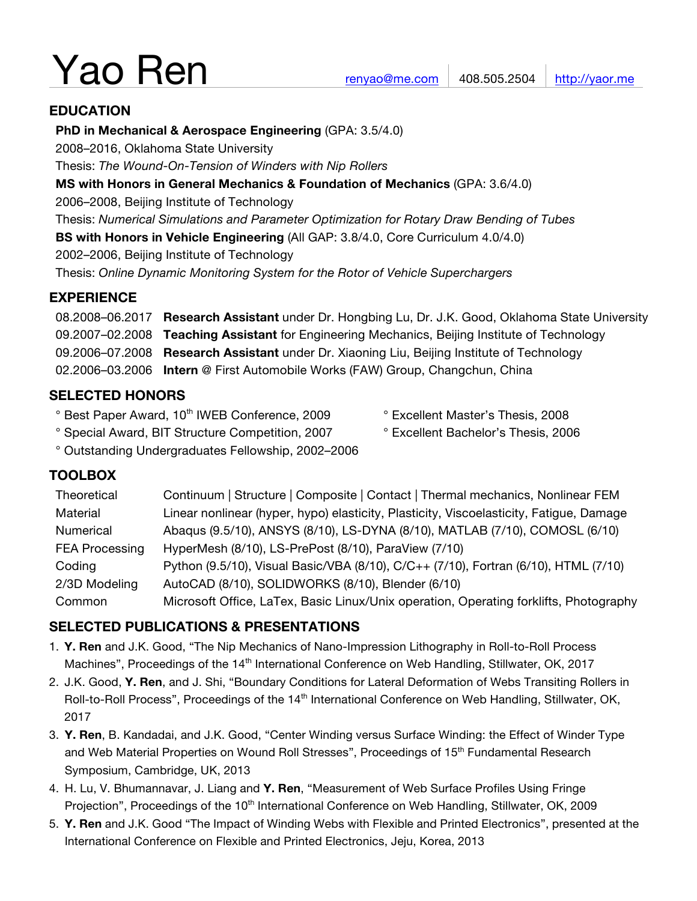# Yao Ren

## **EDUCATION**

**PhD in Mechanical & Aerospace Engineering** (GPA: 3.5/4.0)

2008–2016, Oklahoma State University

Thesis: *The Wound-On-Tension of Winders with Nip Rollers*

**MS with Honors in General Mechanics & Foundation of Mechanics** (GPA: 3.6/4.0)

2006–2008, Beijing Institute of Technology

Thesis: *Numerical Simulations and Parameter Optimization for Rotary Draw Bending of Tubes*

**BS with Honors in Vehicle Engineering** (All GAP: 3.8/4.0, Core Curriculum 4.0/4.0)

2002–2006, Beijing Institute of Technology

Thesis: *Online Dynamic Monitoring System for the Rotor of Vehicle Superchargers*

# **EXPERIENCE**

08.2008–06.2017 **Research Assistant** under Dr. Hongbing Lu, Dr. J.K. Good, Oklahoma State University 09.2007–02.2008 **Teaching Assistant** for Engineering Mechanics, Beijing Institute of Technology 09.2006–07.2008 **Research Assistant** under Dr. Xiaoning Liu, Beijing Institute of Technology 02.2006–03.2006 **Intern** @ First Automobile Works (FAW) Group, Changchun, China

# **SELECTED HONORS**

- ° Best Paper Award, 10<sup>th</sup> IWEB Conference, 2009 <sup>°</sup> Excellent Master's Thesis, 2008
- 
- ° Special Award, BIT Structure Competition, 2007 ° Excellent Bachelor's Thesis, 2006
- ° Outstanding Undergraduates Fellowship, 2002–2006

# **TOOLBOX**

| Theoretical           | Continuum   Structure   Composite   Contact   Thermal mechanics, Nonlinear FEM          |
|-----------------------|-----------------------------------------------------------------------------------------|
| Material              | Linear nonlinear (hyper, hypo) elasticity, Plasticity, Viscoelasticity, Fatigue, Damage |
| Numerical             | Abaqus (9.5/10), ANSYS (8/10), LS-DYNA (8/10), MATLAB (7/10), COMOSL (6/10)             |
| <b>FEA Processing</b> | HyperMesh (8/10), LS-PrePost (8/10), ParaView (7/10)                                    |
| Coding                | Python (9.5/10), Visual Basic/VBA (8/10), C/C++ (7/10), Fortran (6/10), HTML (7/10)     |
| 2/3D Modeling         | AutoCAD (8/10), SOLIDWORKS (8/10), Blender (6/10)                                       |
| Common                | Microsoft Office, LaTex, Basic Linux/Unix operation, Operating forklifts, Photography   |

# **SELECTED PUBLICATIONS & PRESENTATIONS**

- 1. **Y. Ren** and J.K. Good, "The Nip Mechanics of Nano-Impression Lithography in Roll-to-Roll Process Machines", Proceedings of the 14<sup>th</sup> International Conference on Web Handling, Stillwater, OK, 2017
- 2. J.K. Good, **Y. Ren**, and J. Shi, "Boundary Conditions for Lateral Deformation of Webs Transiting Rollers in Roll-to-Roll Process", Proceedings of the 14<sup>th</sup> International Conference on Web Handling, Stillwater, OK, 2017
- 3. **Y. Ren**, B. Kandadai, and J.K. Good, "Center Winding versus Surface Winding: the Effect of Winder Type and Web Material Properties on Wound Roll Stresses", Proceedings of 15<sup>th</sup> Fundamental Research Symposium, Cambridge, UK, 2013
- 4. H. Lu, V. Bhumannavar, J. Liang and **Y. Ren**, "Measurement of Web Surface Profiles Using Fringe Projection", Proceedings of the 10<sup>th</sup> International Conference on Web Handling, Stillwater, OK, 2009
- 5. **Y. Ren** and J.K. Good "The Impact of Winding Webs with Flexible and Printed Electronics", presented at the International Conference on Flexible and Printed Electronics, Jeju, Korea, 2013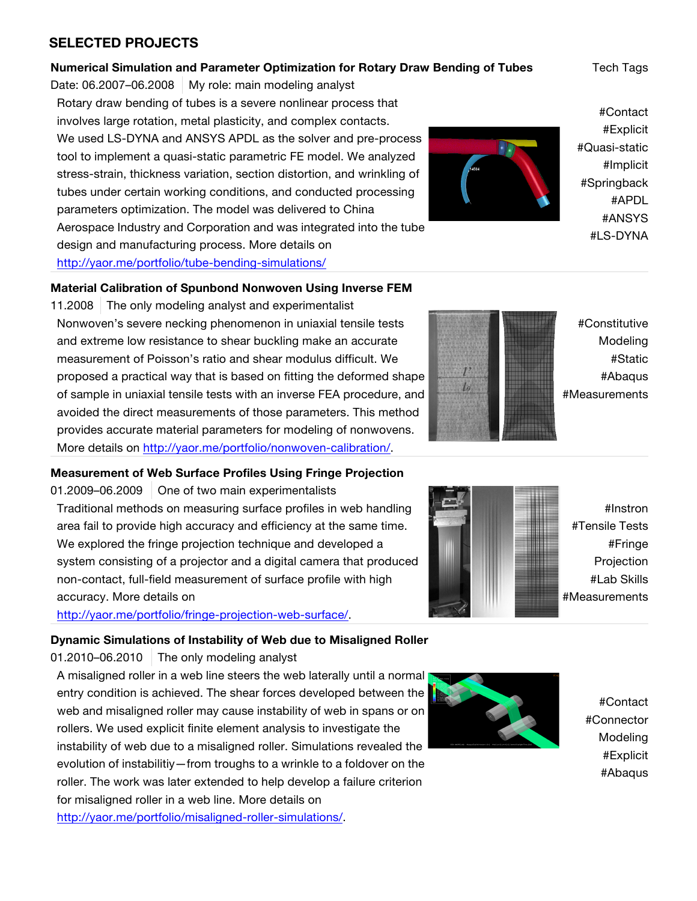## **SELECTED PROJECTS**

#### **Numerical Simulation and Parameter Optimization for Rotary Draw Bending of Tubes** Tech Tags

Date:  $06.2007 - 06.2008$  My role: main modeling analyst Rotary draw bending of tubes is a severe nonlinear process that involves large rotation, metal plasticity, and complex contacts. We used LS-DYNA and ANSYS APDL as the solver and pre-process tool to implement a quasi-static parametric FE model. We analyzed stress-strain, thickness variation, section distortion, and wrinkling of tubes under certain working conditions, and conducted processing parameters optimization. The model was delivered to China Aerospace Industry and Corporation and was integrated into the tube design and manufacturing process. More details on http://yaor.me/portfolio/tube-bending-simulations/

#### **Material Calibration of Spunbond Nonwoven Using Inverse FEM**

11.2008 The only modeling analyst and experimentalist Nonwoven's severe necking phenomenon in uniaxial tensile tests and extreme low resistance to shear buckling make an accurate measurement of Poisson's ratio and shear modulus difficult. We proposed a practical way that is based on fitting the deformed shape of sample in uniaxial tensile tests with an inverse FEA procedure, and avoided the direct measurements of those parameters. This method provides accurate material parameters for modeling of nonwovens. More details on http://yaor.me/portfolio/nonwoven-calibration/.

#### **Measurement of Web Surface Profiles Using Fringe Projection**

01.2009–06.2009 | One of two main experimentalists Traditional methods on measuring surface profiles in web handling area fail to provide high accuracy and efficiency at the same time. We explored the fringe projection technique and developed a system consisting of a projector and a digital camera that produced non-contact, full-field measurement of surface profile with high accuracy. More details on

http://yaor.me/portfolio/fringe-projection-web-surface/.

#### **Dynamic Simulations of Instability of Web due to Misaligned Roller**

 $01.2010$ –06.2010 The only modeling analyst

A misaligned roller in a web line steers the web laterally until a normal entry condition is achieved. The shear forces developed between the web and misaligned roller may cause instability of web in spans or on rollers. We used explicit finite element analysis to investigate the instability of web due to a misaligned roller. Simulations revealed the evolution of instabilitiy—from troughs to a wrinkle to a foldover on the roller. The work was later extended to help develop a failure criterion for misaligned roller in a web line. More details on

http://yaor.me/portfolio/misaligned-roller-simulations/.



#Contact #Connector Modeling #Explicit #Abaqus

#Contact #Explicit #Quasi-static #Implicit #Springback #APDL #ANSYS #LS-DYNA



#Constitutive Modeling #Static #Abaqus #Measurements